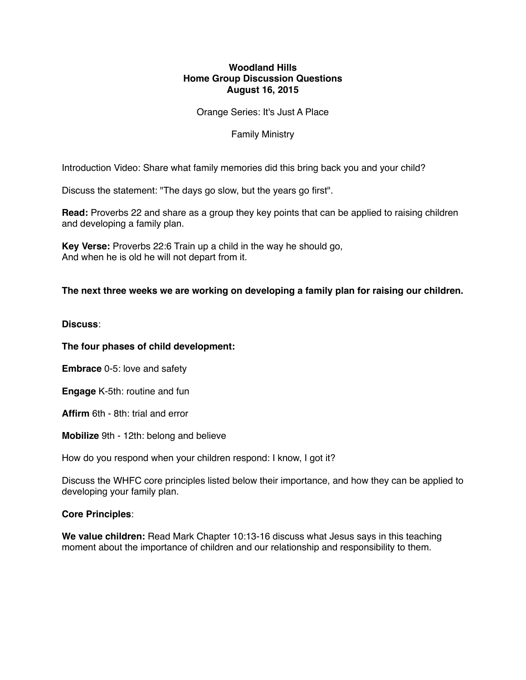# **Woodland Hills Home Group Discussion Questions August 16, 2015**

Orange Series: It's Just A Place

Family Ministry

Introduction Video: Share what family memories did this bring back you and your child?

Discuss the statement: "The days go slow, but the years go first".

**Read:** Proverbs 22 and share as a group they key points that can be applied to raising children and developing a family plan.

**Key Verse:** Proverbs 22:6 Train up a child in the way he should go, And when he is old he will not depart from it.

## **The next three weeks we are working on developing a family plan for raising our children.**

**Discuss**:

#### **The four phases of child development:**

**Embrace** 0-5: love and safety

**Engage** K-5th: routine and fun

**Affirm** 6th - 8th: trial and error

**Mobilize** 9th - 12th: belong and believe

How do you respond when your children respond: I know, I got it?

Discuss the WHFC core principles listed below their importance, and how they can be applied to developing your family plan.

#### **Core Principles**:

**We value children:** Read Mark Chapter 10:13-16 discuss what Jesus says in this teaching moment about the importance of children and our relationship and responsibility to them.